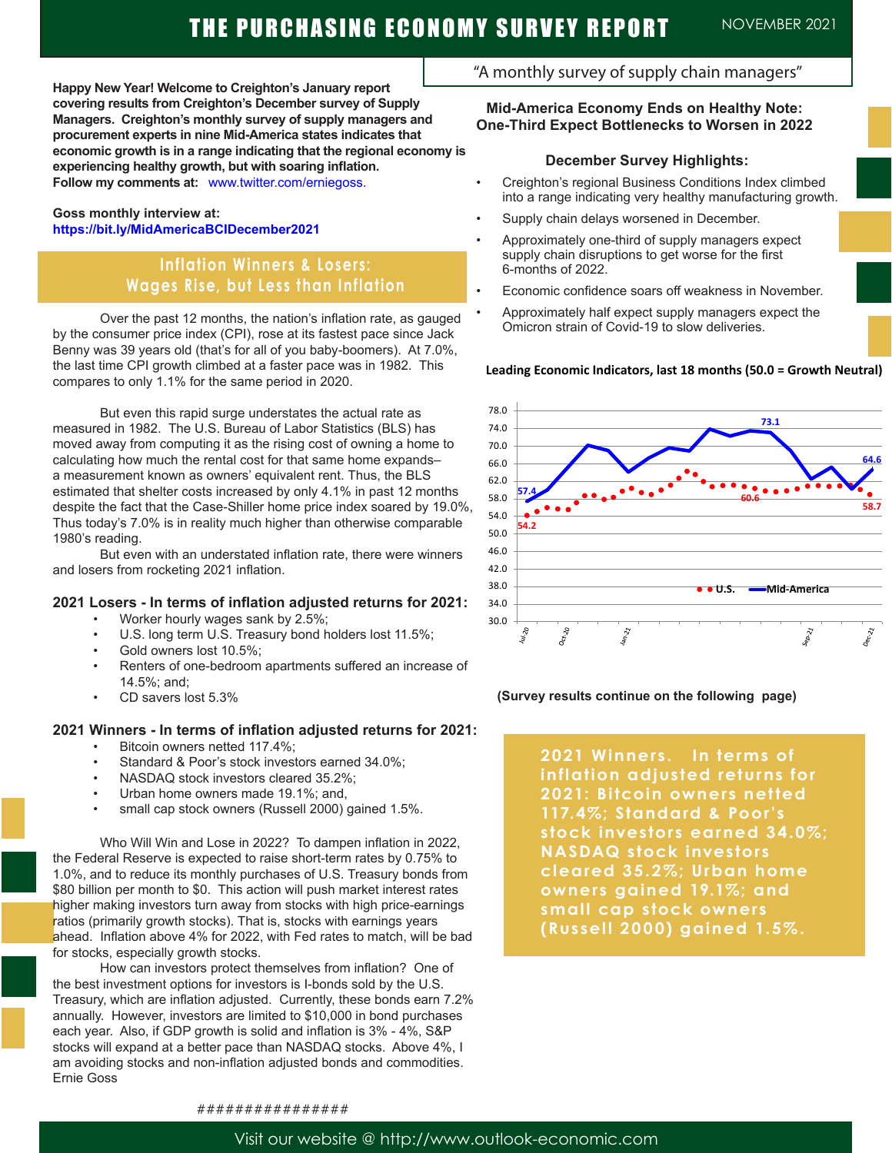**Happy New Year! Welcome to Creighton's January report covering results from Creighton's December survey of Supply Managers. Creighton's monthly survey of supply managers and procurement experts in nine Mid-America states indicates that economic growth is in a range indicating that the regional economy is experiencing healthy growth, but with soaring inflation. Follow my comments at:** www.twitter.com/erniegoss.

### **Goss monthly interview at: https://bit.ly/MidAmericaBCIDecember2021**

# **Inflation Winners & Losers: Wages Rise, but Less than Inflation**

 Over the past 12 months, the nation's inflation rate, as gauged by the consumer price index (CPI), rose at its fastest pace since Jack Benny was 39 years old (that's for all of you baby-boomers). At 7.0%, the last time CPI growth climbed at a faster pace was in 1982. This compares to only 1.1% for the same period in 2020.

 But even this rapid surge understates the actual rate as measured in 1982. The U.S. Bureau of Labor Statistics (BLS) has moved away from computing it as the rising cost of owning a home to calculating how much the rental cost for that same home expands– a measurement known as owners' equivalent rent. Thus, the BLS estimated that shelter costs increased by only 4.1% in past 12 months despite the fact that the Case-Shiller home price index soared by 19.0%, Thus today's 7.0% is in reality much higher than otherwise comparable 1980's reading.

 But even with an understated inflation rate, there were winners and losers from rocketing 2021 inflation.

### **2021 Losers - In terms of inflation adjusted returns for 2021:**

- Worker hourly wages sank by 2.5%;
- U.S. long term U.S. Treasury bond holders lost 11.5%;
- Gold owners lost 10.5%;
- Renters of one-bedroom apartments suffered an increase of 14.5%; and;
- CD savers lost 5.3%

## **2021 Winners - In terms of inflation adjusted returns for 2021:**

- Bitcoin owners netted 117.4%;
- Standard & Poor's stock investors earned 34.0%:
- NASDAQ stock investors cleared 35.2%;
- Urban home owners made 19.1%; and,
- small cap stock owners (Russell 2000) gained 1.5%.

Who Will Win and Lose in 2022? To dampen inflation in 2022, the Federal Reserve is expected to raise short-term rates by 0.75% to 1.0%, and to reduce its monthly purchases of U.S. Treasury bonds from \$80 billion per month to \$0. This action will push market interest rates higher making investors turn away from stocks with high price-earnings ratios (primarily growth stocks). That is, stocks with earnings years ahead. Inflation above 4% for 2022, with Fed rates to match, will be bad for stocks, especially growth stocks.

 How can investors protect themselves from inflation? One of the best investment options for investors is I-bonds sold by the U.S. Treasury, which are inflation adjusted. Currently, these bonds earn 7.2% annually. However, investors are limited to \$10,000 in bond purchases each year. Also, if GDP growth is solid and inflation is 3% - 4%, S&P stocks will expand at a better pace than NASDAQ stocks. Above 4%, I am avoiding stocks and non-inflation adjusted bonds and commodities. Ernie Goss

## "A monthly survey of supply chain managers"

### **Mid-America Economy Ends on Healthy Note: One-Third Expect Bottlenecks to Worsen in 2022**

### **December Survey Highlights:**

- Creighton's regional Business Conditions Index climbed into a range indicating very healthy manufacturing growth.
- Supply chain delays worsened in December.
- Approximately one-third of supply managers expect supply chain disruptions to get worse for the first 6-months of 2022.
- Economic confidence soars off weakness in November.
- Approximately half expect supply managers expect the Omicron strain of Covid-19 to slow deliveries.

### **Leading Economic Indicators, last 18 months (50.0 = Growth Neutral)**



#### **(Survey results continue on the following page)**

**2021 Winners. In terms of inflation adjusted returns for 2021: Bitcoin owners netted 117.4%; Standard & Poor's stock investors earned 34.0%; NASDAQ stock investors cleared 35.2%; Urban home owners gained 19.1%; and small cap stock owners (Russell 20 0 0) gained 1.5%.**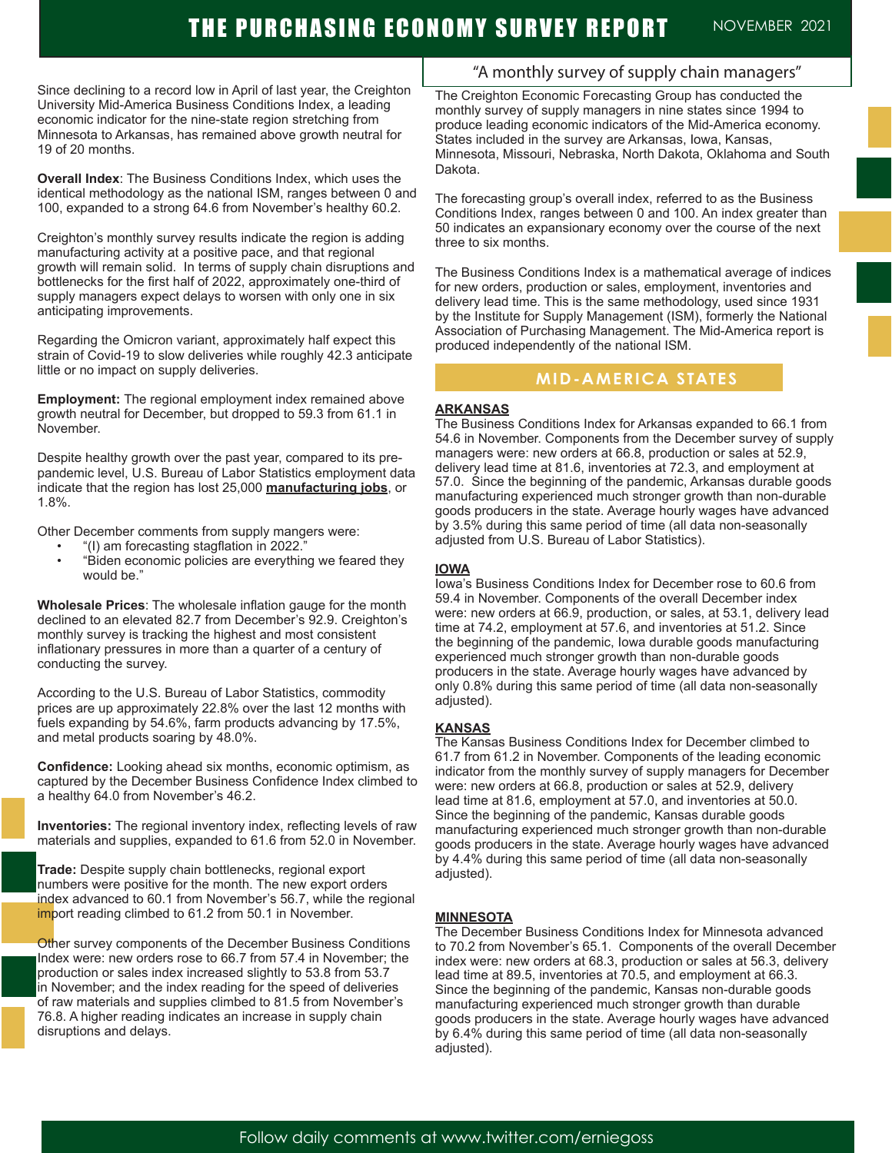Since declining to a record low in April of last year, the Creighton University Mid-America Business Conditions Index, a leading economic indicator for the nine-state region stretching from Minnesota to Arkansas, has remained above growth neutral for 19 of 20 months.

**Overall Index**: The Business Conditions Index, which uses the identical methodology as the national ISM, ranges between 0 and 100, expanded to a strong 64.6 from November's healthy 60.2.

Creighton's monthly survey results indicate the region is adding manufacturing activity at a positive pace, and that regional growth will remain solid. In terms of supply chain disruptions and bottlenecks for the first half of 2022, approximately one-third of supply managers expect delays to worsen with only one in six anticipating improvements.

Regarding the Omicron variant, approximately half expect this strain of Covid-19 to slow deliveries while roughly 42.3 anticipate little or no impact on supply deliveries.

**Employment:** The regional employment index remained above growth neutral for December, but dropped to 59.3 from 61.1 in November.

Despite healthy growth over the past year, compared to its prepandemic level, U.S. Bureau of Labor Statistics employment data indicate that the region has lost 25,000 **manufacturing jobs**, or 1.8%.

Other December comments from supply mangers were:

- "(I) am forecasting stagflation in 2022."
- "Biden economic policies are everything we feared they would be."

**Wholesale Prices**: The wholesale inflation gauge for the month declined to an elevated 82.7 from December's 92.9. Creighton's monthly survey is tracking the highest and most consistent inflationary pressures in more than a quarter of a century of conducting the survey.

According to the U.S. Bureau of Labor Statistics, commodity prices are up approximately 22.8% over the last 12 months with fuels expanding by 54.6%, farm products advancing by 17.5%, and metal products soaring by 48.0%.

**Confidence:** Looking ahead six months, economic optimism, as captured by the December Business Confidence Index climbed to a healthy 64.0 from November's 46.2.

**Inventories:** The regional inventory index, reflecting levels of raw materials and supplies, expanded to 61.6 from 52.0 in November.

**Trade:** Despite supply chain bottlenecks, regional export numbers were positive for the month. The new export orders index advanced to 60.1 from November's 56.7, while the regional import reading climbed to 61.2 from 50.1 in November.

Other survey components of the December Business Conditions Index were: new orders rose to 66.7 from 57.4 in November; the production or sales index increased slightly to 53.8 from 53.7 in November; and the index reading for the speed of deliveries of raw materials and supplies climbed to 81.5 from November's 76.8. A higher reading indicates an increase in supply chain disruptions and delays.

## "A monthly survey of supply chain managers"

The Creighton Economic Forecasting Group has conducted the monthly survey of supply managers in nine states since 1994 to produce leading economic indicators of the Mid-America economy. States included in the survey are Arkansas, Iowa, Kansas, Minnesota, Missouri, Nebraska, North Dakota, Oklahoma and South Dakota.

The forecasting group's overall index, referred to as the Business Conditions Index, ranges between 0 and 100. An index greater than 50 indicates an expansionary economy over the course of the next three to six months.

The Business Conditions Index is a mathematical average of indices for new orders, production or sales, employment, inventories and delivery lead time. This is the same methodology, used since 1931 by the Institute for Supply Management (ISM), formerly the National Association of Purchasing Management. The Mid-America report is produced independently of the national ISM.

## **MID-AMERICA STATES**

### **ARKANSAS**

The Business Conditions Index for Arkansas expanded to 66.1 from 54.6 in November. Components from the December survey of supply managers were: new orders at 66.8, production or sales at 52.9, delivery lead time at 81.6, inventories at 72.3, and employment at 57.0. Since the beginning of the pandemic, Arkansas durable goods manufacturing experienced much stronger growth than non-durable goods producers in the state. Average hourly wages have advanced by 3.5% during this same period of time (all data non-seasonally adjusted from U.S. Bureau of Labor Statistics).

### **IOWA**

Iowa's Business Conditions Index for December rose to 60.6 from 59.4 in November. Components of the overall December index were: new orders at 66.9, production, or sales, at 53.1, delivery lead time at 74.2, employment at 57.6, and inventories at 51.2. Since the beginning of the pandemic, Iowa durable goods manufacturing experienced much stronger growth than non-durable goods producers in the state. Average hourly wages have advanced by only 0.8% during this same period of time (all data non-seasonally adjusted).

#### **KANSAS**

The Kansas Business Conditions Index for December climbed to 61.7 from 61.2 in November. Components of the leading economic indicator from the monthly survey of supply managers for December were: new orders at 66.8, production or sales at 52.9, delivery lead time at 81.6, employment at 57.0, and inventories at 50.0. Since the beginning of the pandemic, Kansas durable goods manufacturing experienced much stronger growth than non-durable goods producers in the state. Average hourly wages have advanced by 4.4% during this same period of time (all data non-seasonally adjusted).

### **MINNESOTA**

The December Business Conditions Index for Minnesota advanced to 70.2 from November's 65.1. Components of the overall December index were: new orders at 68.3, production or sales at 56.3, delivery lead time at 89.5, inventories at 70.5, and employment at 66.3. Since the beginning of the pandemic, Kansas non-durable goods manufacturing experienced much stronger growth than durable goods producers in the state. Average hourly wages have advanced by 6.4% during this same period of time (all data non-seasonally adjusted).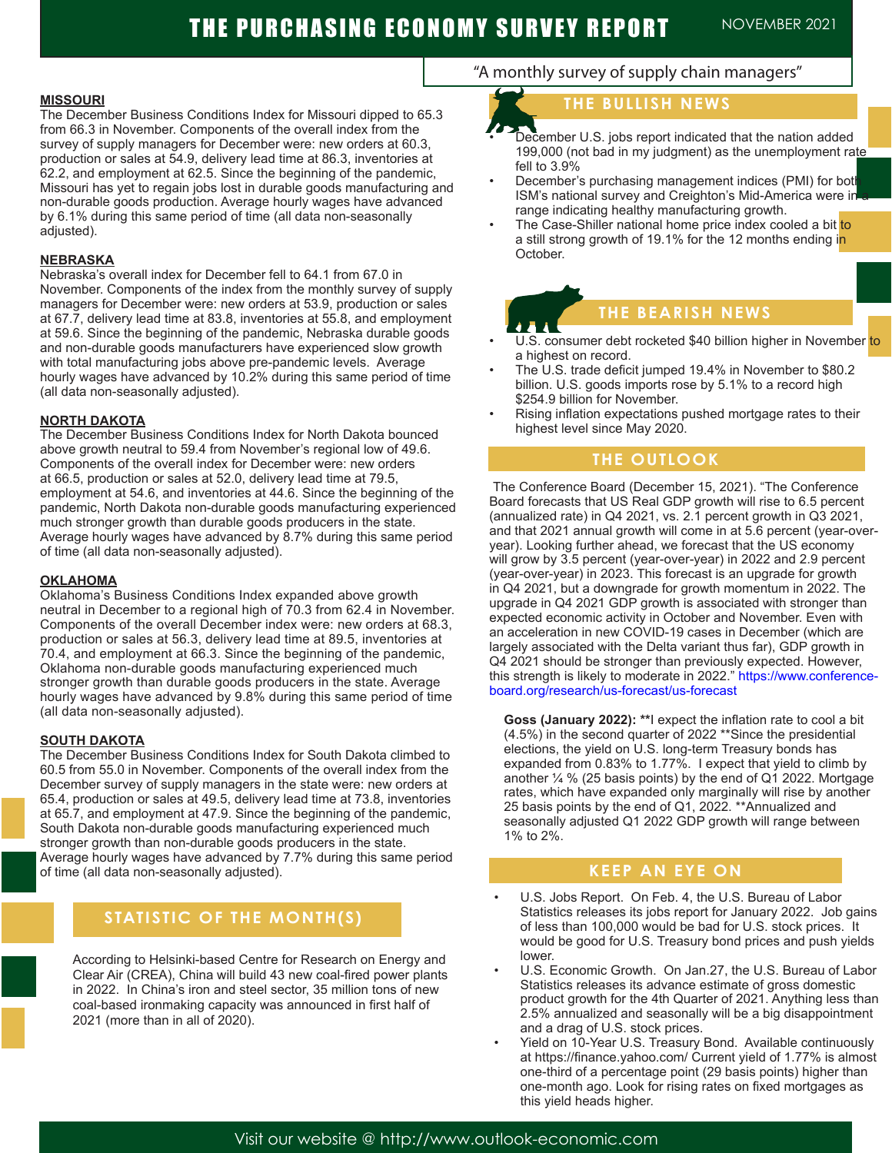#### **MISSOURI**

The December Business Conditions Index for Missouri dipped to 65.3 from 66.3 in November. Components of the overall index from the survey of supply managers for December were: new orders at 60.3, production or sales at 54.9, delivery lead time at 86.3, inventories at 62.2, and employment at 62.5. Since the beginning of the pandemic, Missouri has yet to regain jobs lost in durable goods manufacturing and non-durable goods production. Average hourly wages have advanced by 6.1% during this same period of time (all data non-seasonally adjusted).

#### **NEBRASKA**

Nebraska's overall index for December fell to 64.1 from 67.0 in November. Components of the index from the monthly survey of supply managers for December were: new orders at 53.9, production or sales at 67.7, delivery lead time at 83.8, inventories at 55.8, and employment at 59.6. Since the beginning of the pandemic, Nebraska durable goods and non-durable goods manufacturers have experienced slow growth with total manufacturing jobs above pre-pandemic levels. Average hourly wages have advanced by 10.2% during this same period of time (all data non-seasonally adjusted).

#### **NORTH DAKOTA**

The December Business Conditions Index for North Dakota bounced above growth neutral to 59.4 from November's regional low of 49.6. Components of the overall index for December were: new orders at 66.5, production or sales at 52.0, delivery lead time at 79.5, employment at 54.6, and inventories at 44.6. Since the beginning of the pandemic, North Dakota non-durable goods manufacturing experienced much stronger growth than durable goods producers in the state. Average hourly wages have advanced by 8.7% during this same period of time (all data non-seasonally adjusted).

#### **OKLAHOMA**

Oklahoma's Business Conditions Index expanded above growth neutral in December to a regional high of 70.3 from 62.4 in November. Components of the overall December index were: new orders at 68.3, production or sales at 56.3, delivery lead time at 89.5, inventories at 70.4, and employment at 66.3. Since the beginning of the pandemic, Oklahoma non-durable goods manufacturing experienced much stronger growth than durable goods producers in the state. Average hourly wages have advanced by 9.8% during this same period of time (all data non-seasonally adjusted).

#### **SOUTH DAKOTA**

The December Business Conditions Index for South Dakota climbed to 60.5 from 55.0 in November. Components of the overall index from the December survey of supply managers in the state were: new orders at 65.4, production or sales at 49.5, delivery lead time at 73.8, inventories at 65.7, and employment at 47.9. Since the beginning of the pandemic, South Dakota non-durable goods manufacturing experienced much stronger growth than non-durable goods producers in the state. Average hourly wages have advanced by 7.7% during this same period of time (all data non-seasonally adjusted).

## **STATISTIC OF THE MONTH(S)**

According to Helsinki-based Centre for Research on Energy and Clear Air (CREA), China will build 43 new coal-fired power plants in 2022. In China's iron and steel sector, 35 million tons of new coal-based ironmaking capacity was announced in first half of 2021 (more than in all of 2020).

# "A monthly survey of supply chain managers"

# **THE BULLISH NEWS**

- December U.S. jobs report indicated that the nation added 199,000 (not bad in my judgment) as the unemployment rate fell to 3.9%
- December's purchasing management indices (PMI) for bot ISM's national survey and Creighton's Mid-America were in range indicating healthy manufacturing growth.
- The Case-Shiller national home price index cooled a bit to a still strong growth of 19.1% for the 12 months ending in October.

## **THE BEARISH NEWS**

- U.S. consumer debt rocketed \$40 billion higher in November to a highest on record.
- The U.S. trade deficit jumped 19.4% in November to \$80.2 billion. U.S. goods imports rose by 5.1% to a record high \$254.9 billion for November.
- Rising inflation expectations pushed mortgage rates to their highest level since May 2020.

### **THE OUTLOOK**

The Conference Board (December 15, 2021). "The Conference Board forecasts that US Real GDP growth will rise to 6.5 percent (annualized rate) in Q4 2021, vs. 2.1 percent growth in Q3 2021, and that 2021 annual growth will come in at 5.6 percent (year-overyear). Looking further ahead, we forecast that the US economy will grow by 3.5 percent (year-over-year) in 2022 and 2.9 percent (year-over-year) in 2023. This forecast is an upgrade for growth in Q4 2021, but a downgrade for growth momentum in 2022. The upgrade in Q4 2021 GDP growth is associated with stronger than expected economic activity in October and November. Even with an acceleration in new COVID-19 cases in December (which are largely associated with the Delta variant thus far), GDP growth in Q4 2021 should be stronger than previously expected. However, this strength is likely to moderate in 2022." https://www.conferenceboard.org/research/us-forecast/us-forecast

**Goss (January 2022): \*\***I expect the inflation rate to cool a bit (4.5%) in the second quarter of 2022 \*\*Since the presidential elections, the yield on U.S. long-term Treasury bonds has expanded from 0.83% to 1.77%. I expect that yield to climb by another ¼ % (25 basis points) by the end of Q1 2022. Mortgage rates, which have expanded only marginally will rise by another 25 basis points by the end of Q1, 2022. \*\*Annualized and seasonally adjusted Q1 2022 GDP growth will range between 1% to 2%.

### **KEEP AN EYE ON**

- U.S. Jobs Report. On Feb. 4, the U.S. Bureau of Labor Statistics releases its jobs report for January 2022. Job gains of less than 100,000 would be bad for U.S. stock prices. It would be good for U.S. Treasury bond prices and push yields lower.
- U.S. Economic Growth. On Jan.27, the U.S. Bureau of Labor Statistics releases its advance estimate of gross domestic product growth for the 4th Quarter of 2021. Anything less than 2.5% annualized and seasonally will be a big disappointment and a drag of U.S. stock prices.
- Yield on 10-Year U.S. Treasury Bond. Available continuously at https://finance.yahoo.com/ Current yield of 1.77% is almost one-third of a percentage point (29 basis points) higher than one-month ago. Look for rising rates on fixed mortgages as this yield heads higher.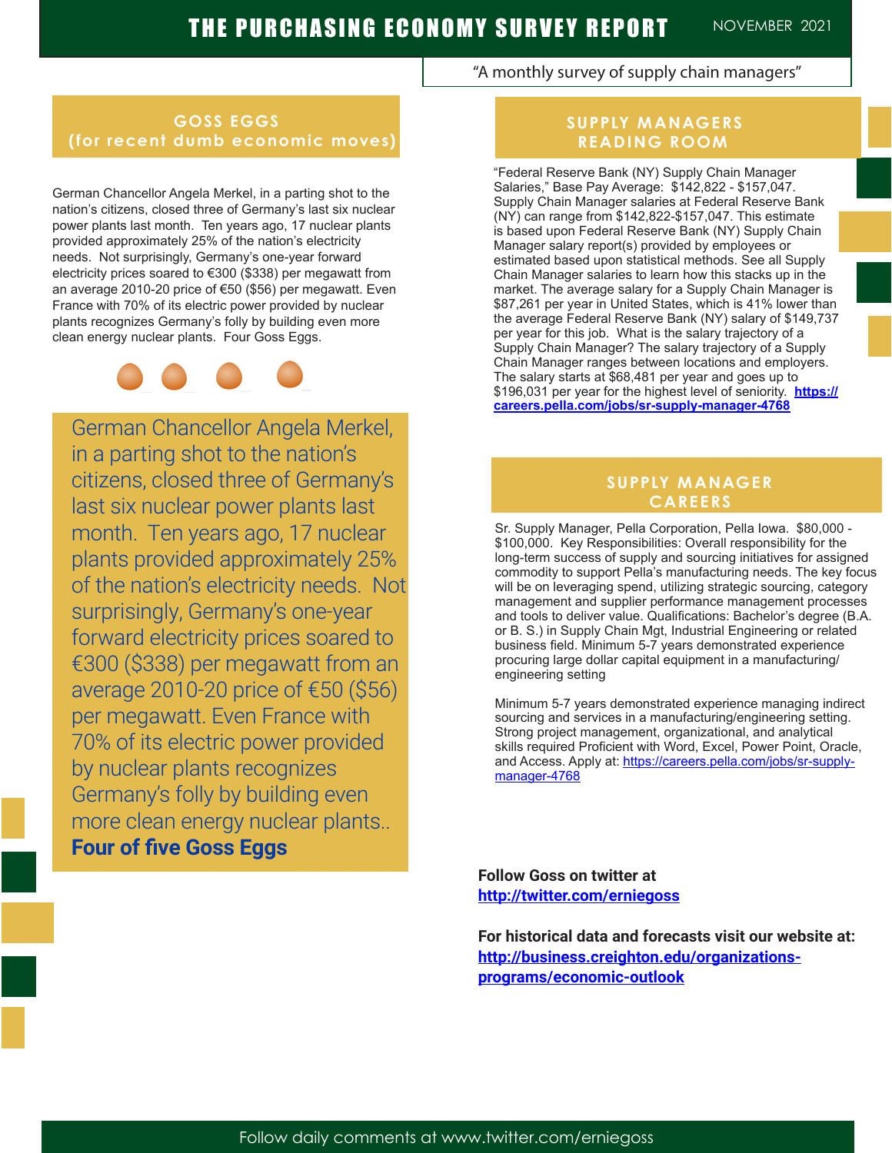## **GOSS EGGS (for recent dumb economic moves)**

German Chancellor Angela Merkel, in a parting shot to the nation's citizens, closed three of Germany's last six nuclear power plants last month. Ten years ago, 17 nuclear plants provided approximately 25% of the nation's electricity needs. Not surprisingly, Germany's one-year forward electricity prices soared to €300 (\$338) per megawatt from an average 2010-20 price of €50 (\$56) per megawatt. Even France with 70% of its electric power provided by nuclear plants recognizes Germany's folly by building even more clean energy nuclear plants. Four Goss Eggs.



German Chancellor Angela Merkel, in a parting shot to the nation's citizens, closed three of Germany's last six nuclear power plants last month. Ten years ago, 17 nuclear plants provided approximately 25% of the nation's electricity needs. Not surprisingly, Germany's one-year forward electricity prices soared to €300 (\$338) per megawatt from an average 2010-20 price of €50 (\$56) per megawatt. Even France with 70% of its electric power provided by nuclear plants recognizes Germany's folly by building even more clean energy nuclear plants.. **Four of five Goss Eggs** 

## "A monthly survey of supply chain managers"

## **SUPPLY MANAGERS READING ROOM**

"Federal Reserve Bank (NY) Supply Chain Manager Salaries," Base Pay Average: \$142,822 - \$157,047. Supply Chain Manager salaries at Federal Reserve Bank (NY) can range from \$142,822-\$157,047. This estimate is based upon Federal Reserve Bank (NY) Supply Chain Manager salary report(s) provided by employees or estimated based upon statistical methods. See all Supply Chain Manager salaries to learn how this stacks up in the market. The average salary for a Supply Chain Manager is \$87,261 per year in United States, which is 41% lower than the average Federal Reserve Bank (NY) salary of \$149,737 per year for this job. What is the salary trajectory of a Supply Chain Manager? The salary trajectory of a Supply Chain Manager ranges between locations and employers. The salary starts at \$68,481 per year and goes up to \$196,031 per year for the highest level of seniority. **https:// careers.pella.com/jobs/sr-supply-manager-4768**

## **SUPPLY MANAGER CAREERS**

Sr. Supply Manager, Pella Corporation, Pella Iowa. \$80,000 - \$100,000. Key Responsibilities: Overall responsibility for the long-term success of supply and sourcing initiatives for assigned commodity to support Pella's manufacturing needs. The key focus will be on leveraging spend, utilizing strategic sourcing, category management and supplier performance management processes and tools to deliver value. Qualifications: Bachelor's degree (B.A. or B. S.) in Supply Chain Mgt, Industrial Engineering or related business field. Minimum 5-7 years demonstrated experience procuring large dollar capital equipment in a manufacturing/ engineering setting

Minimum 5-7 years demonstrated experience managing indirect sourcing and services in a manufacturing/engineering setting. Strong project management, organizational, and analytical skills required Proficient with Word, Excel, Power Point, Oracle, and Access. Apply at: https://careers.pella.com/jobs/sr-supplymanager-4768

**Follow Goss on twitter at http://twitter.com/erniegoss**

**For historical data and forecasts visit our website at: http://business.creighton.edu/organizationsprograms/economic-outlook**